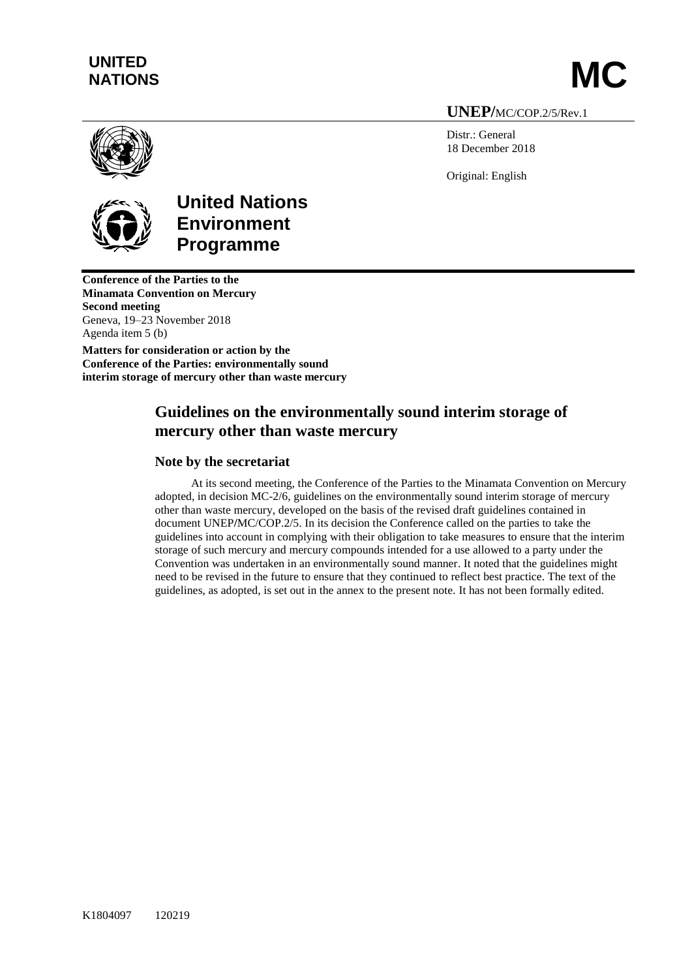# **UNITED** UNITED<br>NATIONS **MC**

**UNEP/**MC/COP.2/5/Rev.1

Distr.: General 18 December 2018

Original: English



**United Nations Environment Programme**

**Conference of the Parties to the Minamata Convention on Mercury Second meeting** Geneva, 19–23 November 2018 Agenda item 5 (b)

**Matters for consideration or action by the Conference of the Parties: environmentally sound interim storage of mercury other than waste mercury**

# **Guidelines on the environmentally sound interim storage of mercury other than waste mercury**

## **Note by the secretariat**

At its second meeting, the Conference of the Parties to the Minamata Convention on Mercury adopted, in decision MC-2/6, guidelines on the environmentally sound interim storage of mercury other than waste mercury, developed on the basis of the revised draft guidelines contained in document UNEP**/**MC/COP.2/5. In its decision the Conference called on the parties to take the guidelines into account in complying with their obligation to take measures to ensure that the interim storage of such mercury and mercury compounds intended for a use allowed to a party under the Convention was undertaken in an environmentally sound manner. It noted that the guidelines might need to be revised in the future to ensure that they continued to reflect best practice. The text of the guidelines, as adopted, is set out in the annex to the present note. It has not been formally edited.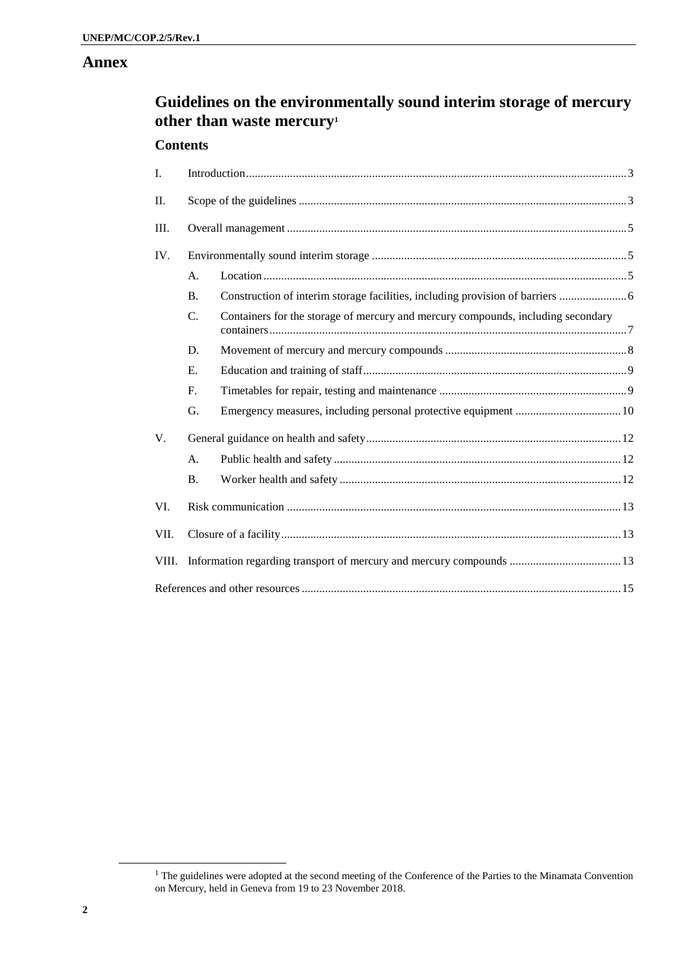## **Annex**

# **Guidelines on the environmentally sound interim storage of mercury other than waste mercury<sup>1</sup>**

### **Contents**

| I.    |             |                                                                                  |  |
|-------|-------------|----------------------------------------------------------------------------------|--|
| Π.    |             |                                                                                  |  |
| Ш.    |             |                                                                                  |  |
| IV.   |             |                                                                                  |  |
|       | A.          |                                                                                  |  |
|       | <b>B.</b>   | Construction of interim storage facilities, including provision of barriers      |  |
|       | $C_{\cdot}$ | Containers for the storage of mercury and mercury compounds, including secondary |  |
|       | D.          |                                                                                  |  |
|       | E.          |                                                                                  |  |
|       | F.          |                                                                                  |  |
|       | G.          |                                                                                  |  |
| V.    |             |                                                                                  |  |
|       | A.          |                                                                                  |  |
|       | <b>B.</b>   |                                                                                  |  |
| VI.   |             |                                                                                  |  |
| VII.  |             |                                                                                  |  |
| VIII. |             |                                                                                  |  |
|       |             |                                                                                  |  |

l

<sup>&</sup>lt;sup>1</sup> The guidelines were adopted at the second meeting of the Conference of the Parties to the Minamata Convention on Mercury, held in Geneva from 19 to 23 November 2018.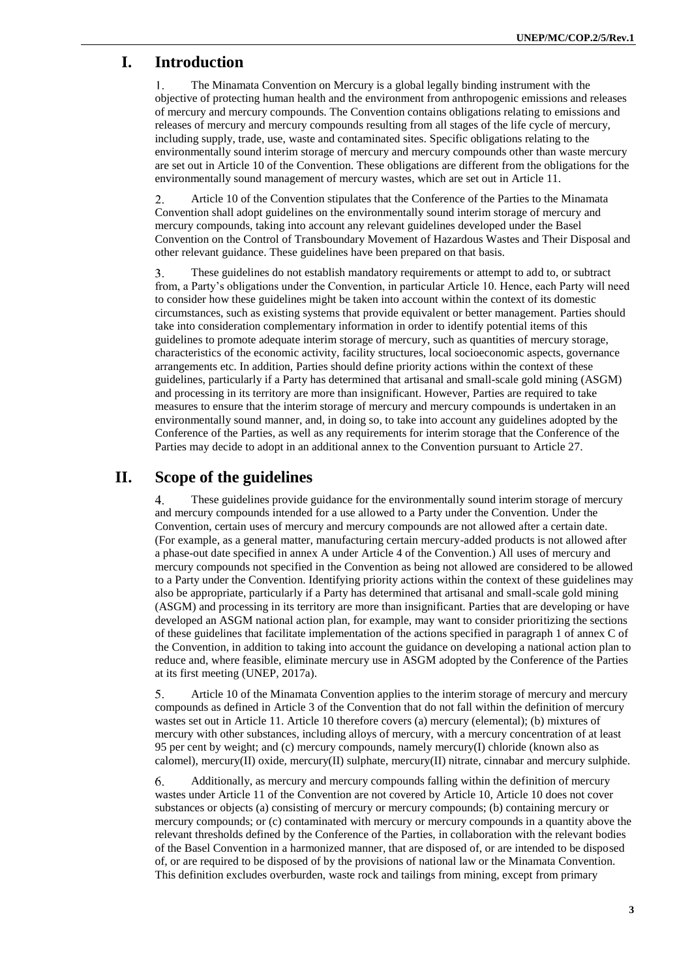# **I. Introduction**

The Minamata Convention on Mercury is a global legally binding instrument with the  $\mathbf{1}$ . objective of protecting human health and the environment from anthropogenic emissions and releases of mercury and mercury compounds. The Convention contains obligations relating to emissions and releases of mercury and mercury compounds resulting from all stages of the life cycle of mercury, including supply, trade, use, waste and contaminated sites. Specific obligations relating to the environmentally sound interim storage of mercury and mercury compounds other than waste mercury are set out in Article 10 of the Convention. These obligations are different from the obligations for the environmentally sound management of mercury wastes, which are set out in Article 11.

 $\overline{2}$ . Article 10 of the Convention stipulates that the Conference of the Parties to the Minamata Convention shall adopt guidelines on the environmentally sound interim storage of mercury and mercury compounds, taking into account any relevant guidelines developed under the Basel Convention on the Control of Transboundary Movement of Hazardous Wastes and Their Disposal and other relevant guidance. These guidelines have been prepared on that basis.

3. These guidelines do not establish mandatory requirements or attempt to add to, or subtract from, a Party's obligations under the Convention, in particular Article 10. Hence, each Party will need to consider how these guidelines might be taken into account within the context of its domestic circumstances, such as existing systems that provide equivalent or better management. Parties should take into consideration complementary information in order to identify potential items of this guidelines to promote adequate interim storage of mercury, such as quantities of mercury storage, characteristics of the economic activity, facility structures, local socioeconomic aspects, governance arrangements etc. In addition, Parties should define priority actions within the context of these guidelines, particularly if a Party has determined that artisanal and small-scale gold mining (ASGM) and processing in its territory are more than insignificant. However, Parties are required to take measures to ensure that the interim storage of mercury and mercury compounds is undertaken in an environmentally sound manner, and, in doing so, to take into account any guidelines adopted by the Conference of the Parties, as well as any requirements for interim storage that the Conference of the Parties may decide to adopt in an additional annex to the Convention pursuant to Article 27.

# **II. Scope of the guidelines**

 $\overline{4}$ These guidelines provide guidance for the environmentally sound interim storage of mercury and mercury compounds intended for a use allowed to a Party under the Convention. Under the Convention, certain uses of mercury and mercury compounds are not allowed after a certain date. (For example, as a general matter, manufacturing certain mercury-added products is not allowed after a phase-out date specified in annex A under Article 4 of the Convention.) All uses of mercury and mercury compounds not specified in the Convention as being not allowed are considered to be allowed to a Party under the Convention. Identifying priority actions within the context of these guidelines may also be appropriate, particularly if a Party has determined that artisanal and small-scale gold mining (ASGM) and processing in its territory are more than insignificant. Parties that are developing or have developed an ASGM national action plan, for example, may want to consider prioritizing the sections of these guidelines that facilitate implementation of the actions specified in paragraph 1 of annex C of the Convention, in addition to taking into account the guidance on developing a national action plan to reduce and, where feasible, eliminate mercury use in ASGM adopted by the Conference of the Parties at its first meeting (UNEP, 2017a).

Article 10 of the Minamata Convention applies to the interim storage of mercury and mercury 5. compounds as defined in Article 3 of the Convention that do not fall within the definition of mercury wastes set out in Article 11. Article 10 therefore covers (a) mercury (elemental); (b) mixtures of mercury with other substances, including alloys of mercury, with a mercury concentration of at least 95 per cent by weight; and (c) mercury compounds, namely mercury(I) chloride (known also as calomel), mercury(II) oxide, mercury(II) sulphate, mercury(II) nitrate, cinnabar and mercury sulphide.

6. Additionally, as mercury and mercury compounds falling within the definition of mercury wastes under Article 11 of the Convention are not covered by Article 10, Article 10 does not cover substances or objects (a) consisting of mercury or mercury compounds; (b) containing mercury or mercury compounds; or (c) contaminated with mercury or mercury compounds in a quantity above the relevant thresholds defined by the Conference of the Parties, in collaboration with the relevant bodies of the Basel Convention in a harmonized manner, that are disposed of, or are intended to be disposed of, or are required to be disposed of by the provisions of national law or the Minamata Convention. This definition excludes overburden, waste rock and tailings from mining, except from primary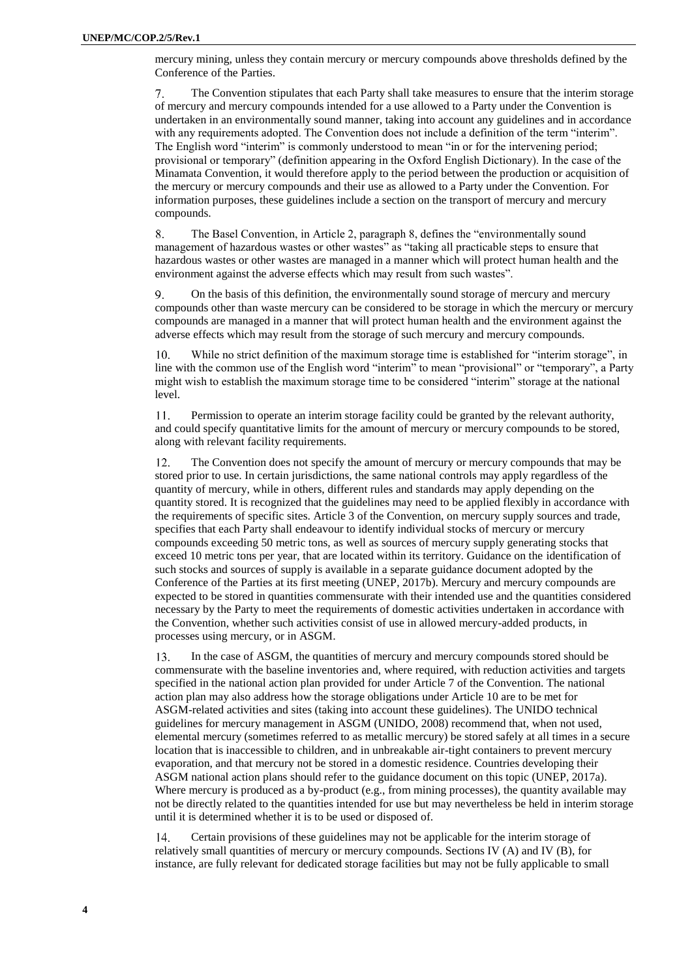mercury mining, unless they contain mercury or mercury compounds above thresholds defined by the Conference of the Parties.

The Convention stipulates that each Party shall take measures to ensure that the interim storage  $7.$ of mercury and mercury compounds intended for a use allowed to a Party under the Convention is undertaken in an environmentally sound manner, taking into account any guidelines and in accordance with any requirements adopted. The Convention does not include a definition of the term "interim". The English word "interim" is commonly understood to mean "in or for the intervening period; provisional or temporary" (definition appearing in the Oxford English Dictionary). In the case of the Minamata Convention, it would therefore apply to the period between the production or acquisition of the mercury or mercury compounds and their use as allowed to a Party under the Convention. For information purposes, these guidelines include a section on the transport of mercury and mercury compounds.

8. The Basel Convention, in Article 2, paragraph 8, defines the "environmentally sound management of hazardous wastes or other wastes" as "taking all practicable steps to ensure that hazardous wastes or other wastes are managed in a manner which will protect human health and the environment against the adverse effects which may result from such wastes".

On the basis of this definition, the environmentally sound storage of mercury and mercury 9. compounds other than waste mercury can be considered to be storage in which the mercury or mercury compounds are managed in a manner that will protect human health and the environment against the adverse effects which may result from the storage of such mercury and mercury compounds.

While no strict definition of the maximum storage time is established for "interim storage", in  $10<sup>1</sup>$ line with the common use of the English word "interim" to mean "provisional" or "temporary", a Party might wish to establish the maximum storage time to be considered "interim" storage at the national level.

Permission to operate an interim storage facility could be granted by the relevant authority,  $11.$ and could specify quantitative limits for the amount of mercury or mercury compounds to be stored, along with relevant facility requirements.

12. The Convention does not specify the amount of mercury or mercury compounds that may be stored prior to use. In certain jurisdictions, the same national controls may apply regardless of the quantity of mercury, while in others, different rules and standards may apply depending on the quantity stored. It is recognized that the guidelines may need to be applied flexibly in accordance with the requirements of specific sites. Article 3 of the Convention, on mercury supply sources and trade, specifies that each Party shall endeavour to identify individual stocks of mercury or mercury compounds exceeding 50 metric tons, as well as sources of mercury supply generating stocks that exceed 10 metric tons per year, that are located within its territory. Guidance on the identification of such stocks and sources of supply is available in a separate guidance document adopted by the Conference of the Parties at its first meeting (UNEP, 2017b). Mercury and mercury compounds are expected to be stored in quantities commensurate with their intended use and the quantities considered necessary by the Party to meet the requirements of domestic activities undertaken in accordance with the Convention, whether such activities consist of use in allowed mercury-added products, in processes using mercury, or in ASGM.

13. In the case of ASGM, the quantities of mercury and mercury compounds stored should be commensurate with the baseline inventories and, where required, with reduction activities and targets specified in the national action plan provided for under Article 7 of the Convention. The national action plan may also address how the storage obligations under Article 10 are to be met for ASGM-related activities and sites (taking into account these guidelines). The UNIDO technical guidelines for mercury management in ASGM (UNIDO, 2008) recommend that, when not used, elemental mercury (sometimes referred to as metallic mercury) be stored safely at all times in a secure location that is inaccessible to children, and in unbreakable air-tight containers to prevent mercury evaporation, and that mercury not be stored in a domestic residence. Countries developing their ASGM national action plans should refer to the guidance document on this topic (UNEP, 2017a). Where mercury is produced as a by-product (e.g., from mining processes), the quantity available may not be directly related to the quantities intended for use but may nevertheless be held in interim storage until it is determined whether it is to be used or disposed of.

Certain provisions of these guidelines may not be applicable for the interim storage of  $14$ relatively small quantities of mercury or mercury compounds. Sections IV (A) and IV (B), for instance, are fully relevant for dedicated storage facilities but may not be fully applicable to small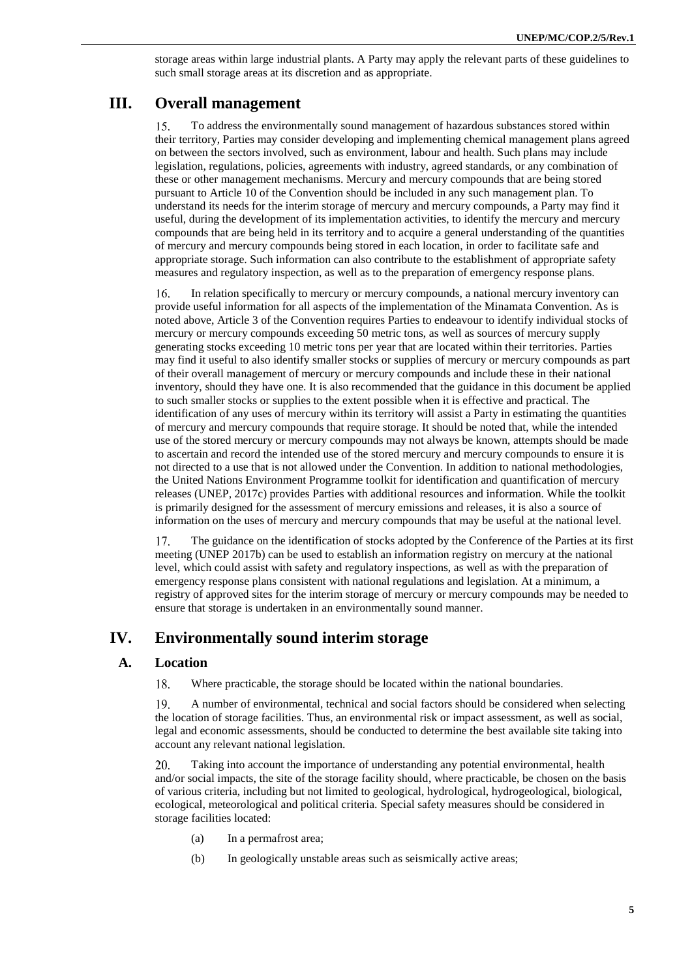storage areas within large industrial plants. A Party may apply the relevant parts of these guidelines to such small storage areas at its discretion and as appropriate.

# **III. Overall management**

15. To address the environmentally sound management of hazardous substances stored within their territory, Parties may consider developing and implementing chemical management plans agreed on between the sectors involved, such as environment, labour and health. Such plans may include legislation, regulations, policies, agreements with industry, agreed standards, or any combination of these or other management mechanisms. Mercury and mercury compounds that are being stored pursuant to Article 10 of the Convention should be included in any such management plan. To understand its needs for the interim storage of mercury and mercury compounds, a Party may find it useful, during the development of its implementation activities, to identify the mercury and mercury compounds that are being held in its territory and to acquire a general understanding of the quantities of mercury and mercury compounds being stored in each location, in order to facilitate safe and appropriate storage. Such information can also contribute to the establishment of appropriate safety measures and regulatory inspection, as well as to the preparation of emergency response plans.

In relation specifically to mercury or mercury compounds, a national mercury inventory can 16. provide useful information for all aspects of the implementation of the Minamata Convention. As is noted above, Article 3 of the Convention requires Parties to endeavour to identify individual stocks of mercury or mercury compounds exceeding 50 metric tons, as well as sources of mercury supply generating stocks exceeding 10 metric tons per year that are located within their territories. Parties may find it useful to also identify smaller stocks or supplies of mercury or mercury compounds as part of their overall management of mercury or mercury compounds and include these in their national inventory, should they have one. It is also recommended that the guidance in this document be applied to such smaller stocks or supplies to the extent possible when it is effective and practical. The identification of any uses of mercury within its territory will assist a Party in estimating the quantities of mercury and mercury compounds that require storage. It should be noted that, while the intended use of the stored mercury or mercury compounds may not always be known, attempts should be made to ascertain and record the intended use of the stored mercury and mercury compounds to ensure it is not directed to a use that is not allowed under the Convention. In addition to national methodologies, the United Nations Environment Programme toolkit for identification and quantification of mercury releases (UNEP, 2017c) provides Parties with additional resources and information. While the toolkit is primarily designed for the assessment of mercury emissions and releases, it is also a source of information on the uses of mercury and mercury compounds that may be useful at the national level.

17. The guidance on the identification of stocks adopted by the Conference of the Parties at its first meeting (UNEP 2017b) can be used to establish an information registry on mercury at the national level, which could assist with safety and regulatory inspections, as well as with the preparation of emergency response plans consistent with national regulations and legislation. At a minimum, a registry of approved sites for the interim storage of mercury or mercury compounds may be needed to ensure that storage is undertaken in an environmentally sound manner.

# **IV. Environmentally sound interim storage**

### **A. Location**

18. Where practicable, the storage should be located within the national boundaries.

19. A number of environmental, technical and social factors should be considered when selecting the location of storage facilities. Thus, an environmental risk or impact assessment, as well as social, legal and economic assessments, should be conducted to determine the best available site taking into account any relevant national legislation.

20. Taking into account the importance of understanding any potential environmental, health and/or social impacts, the site of the storage facility should, where practicable, be chosen on the basis of various criteria, including but not limited to geological, hydrological, hydrogeological, biological, ecological, meteorological and political criteria. Special safety measures should be considered in storage facilities located:

- (a) In a permafrost area;
- (b) In geologically unstable areas such as seismically active areas;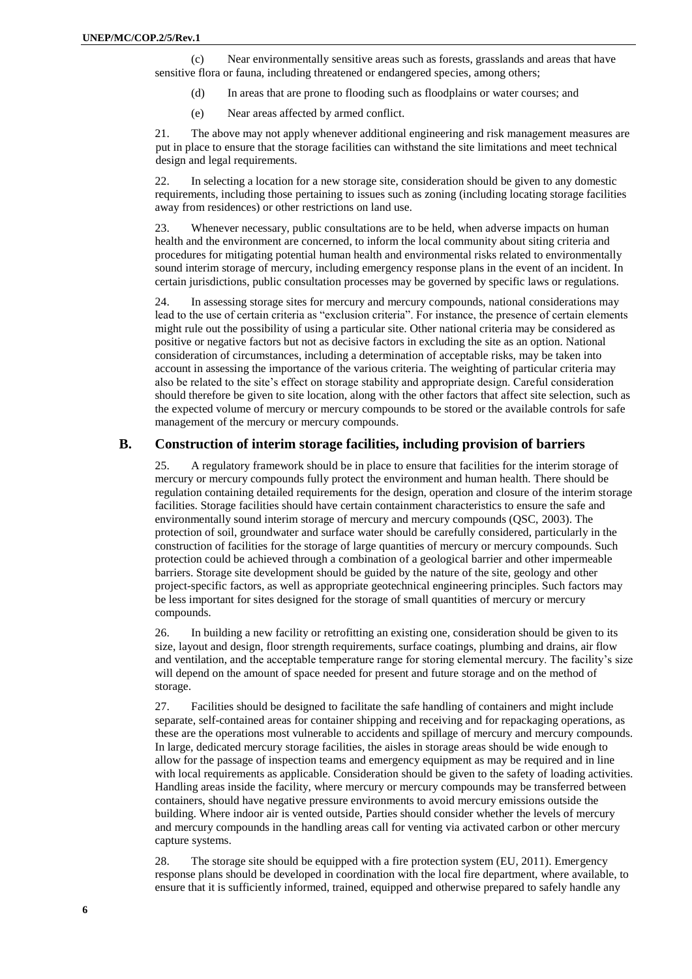(c) Near environmentally sensitive areas such as forests, grasslands and areas that have sensitive flora or fauna, including threatened or endangered species, among others;

- (d) In areas that are prone to flooding such as floodplains or water courses; and
- (e) Near areas affected by armed conflict.

21. The above may not apply whenever additional engineering and risk management measures are put in place to ensure that the storage facilities can withstand the site limitations and meet technical design and legal requirements.

22. In selecting a location for a new storage site, consideration should be given to any domestic requirements, including those pertaining to issues such as zoning (including locating storage facilities away from residences) or other restrictions on land use.

23. Whenever necessary, public consultations are to be held, when adverse impacts on human health and the environment are concerned, to inform the local community about siting criteria and procedures for mitigating potential human health and environmental risks related to environmentally sound interim storage of mercury, including emergency response plans in the event of an incident. In certain jurisdictions, public consultation processes may be governed by specific laws or regulations.

24. In assessing storage sites for mercury and mercury compounds, national considerations may lead to the use of certain criteria as "exclusion criteria". For instance, the presence of certain elements might rule out the possibility of using a particular site. Other national criteria may be considered as positive or negative factors but not as decisive factors in excluding the site as an option. National consideration of circumstances, including a determination of acceptable risks, may be taken into account in assessing the importance of the various criteria. The weighting of particular criteria may also be related to the site's effect on storage stability and appropriate design. Careful consideration should therefore be given to site location, along with the other factors that affect site selection, such as the expected volume of mercury or mercury compounds to be stored or the available controls for safe management of the mercury or mercury compounds.

#### **B. Construction of interim storage facilities, including provision of barriers**

25. A regulatory framework should be in place to ensure that facilities for the interim storage of mercury or mercury compounds fully protect the environment and human health. There should be regulation containing detailed requirements for the design, operation and closure of the interim storage facilities. Storage facilities should have certain containment characteristics to ensure the safe and environmentally sound interim storage of mercury and mercury compounds (QSC, 2003). The protection of soil, groundwater and surface water should be carefully considered, particularly in the construction of facilities for the storage of large quantities of mercury or mercury compounds. Such protection could be achieved through a combination of a geological barrier and other impermeable barriers. Storage site development should be guided by the nature of the site, geology and other project-specific factors, as well as appropriate geotechnical engineering principles. Such factors may be less important for sites designed for the storage of small quantities of mercury or mercury compounds.

26. In building a new facility or retrofitting an existing one, consideration should be given to its size, layout and design, floor strength requirements, surface coatings, plumbing and drains, air flow and ventilation, and the acceptable temperature range for storing elemental mercury. The facility's size will depend on the amount of space needed for present and future storage and on the method of storage.

27. Facilities should be designed to facilitate the safe handling of containers and might include separate, self-contained areas for container shipping and receiving and for repackaging operations, as these are the operations most vulnerable to accidents and spillage of mercury and mercury compounds. In large, dedicated mercury storage facilities, the aisles in storage areas should be wide enough to allow for the passage of inspection teams and emergency equipment as may be required and in line with local requirements as applicable. Consideration should be given to the safety of loading activities. Handling areas inside the facility, where mercury or mercury compounds may be transferred between containers, should have negative pressure environments to avoid mercury emissions outside the building. Where indoor air is vented outside, Parties should consider whether the levels of mercury and mercury compounds in the handling areas call for venting via activated carbon or other mercury capture systems.

28. The storage site should be equipped with a fire protection system (EU, 2011). Emergency response plans should be developed in coordination with the local fire department, where available, to ensure that it is sufficiently informed, trained, equipped and otherwise prepared to safely handle any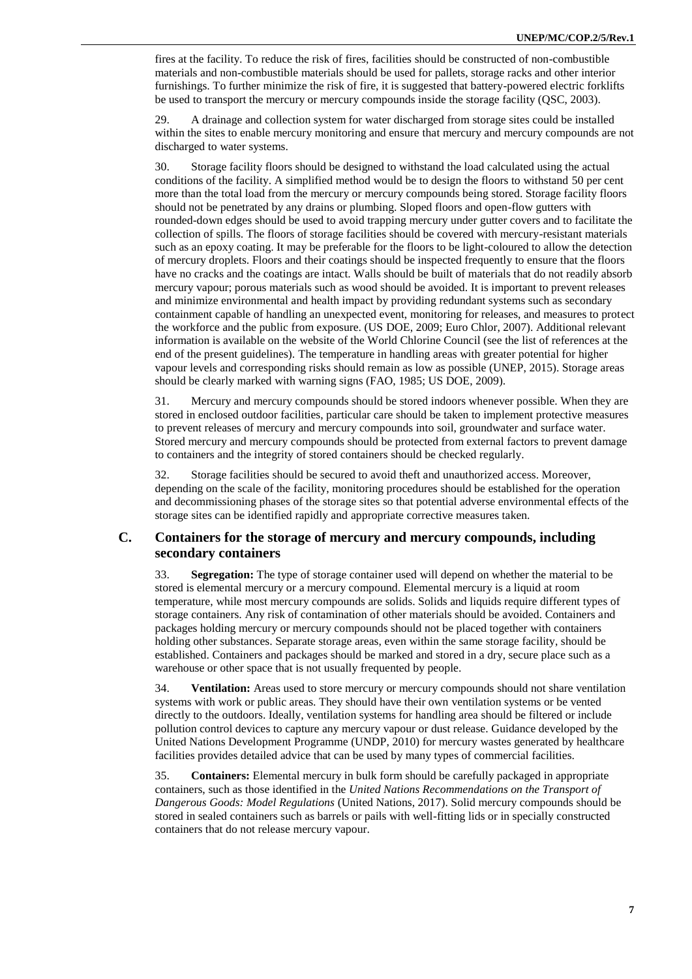fires at the facility. To reduce the risk of fires, facilities should be constructed of non-combustible materials and non-combustible materials should be used for pallets, storage racks and other interior furnishings. To further minimize the risk of fire, it is suggested that battery-powered electric forklifts be used to transport the mercury or mercury compounds inside the storage facility (QSC, 2003).

29. A drainage and collection system for water discharged from storage sites could be installed within the sites to enable mercury monitoring and ensure that mercury and mercury compounds are not discharged to water systems.

30. Storage facility floors should be designed to withstand the load calculated using the actual conditions of the facility. A simplified method would be to design the floors to withstand 50 per cent more than the total load from the mercury or mercury compounds being stored. Storage facility floors should not be penetrated by any drains or plumbing. Sloped floors and open-flow gutters with rounded-down edges should be used to avoid trapping mercury under gutter covers and to facilitate the collection of spills. The floors of storage facilities should be covered with mercury-resistant materials such as an epoxy coating. It may be preferable for the floors to be light-coloured to allow the detection of mercury droplets. Floors and their coatings should be inspected frequently to ensure that the floors have no cracks and the coatings are intact. Walls should be built of materials that do not readily absorb mercury vapour; porous materials such as wood should be avoided. It is important to prevent releases and minimize environmental and health impact by providing redundant systems such as secondary containment capable of handling an unexpected event, monitoring for releases, and measures to protect the workforce and the public from exposure. (US DOE, 2009; Euro Chlor, 2007). Additional relevant information is available on the website of the World Chlorine Council (see the list of references at the end of the present guidelines). The temperature in handling areas with greater potential for higher vapour levels and corresponding risks should remain as low as possible (UNEP, 2015). Storage areas should be clearly marked with warning signs (FAO, 1985; US DOE, 2009).

31. Mercury and mercury compounds should be stored indoors whenever possible. When they are stored in enclosed outdoor facilities, particular care should be taken to implement protective measures to prevent releases of mercury and mercury compounds into soil, groundwater and surface water. Stored mercury and mercury compounds should be protected from external factors to prevent damage to containers and the integrity of stored containers should be checked regularly.

32. Storage facilities should be secured to avoid theft and unauthorized access. Moreover, depending on the scale of the facility, monitoring procedures should be established for the operation and decommissioning phases of the storage sites so that potential adverse environmental effects of the storage sites can be identified rapidly and appropriate corrective measures taken.

### **C. Containers for the storage of mercury and mercury compounds, including secondary containers**

33. **Segregation:** The type of storage container used will depend on whether the material to be stored is elemental mercury or a mercury compound. Elemental mercury is a liquid at room temperature, while most mercury compounds are solids. Solids and liquids require different types of storage containers. Any risk of contamination of other materials should be avoided. Containers and packages holding mercury or mercury compounds should not be placed together with containers holding other substances. Separate storage areas, even within the same storage facility, should be established. Containers and packages should be marked and stored in a dry, secure place such as a warehouse or other space that is not usually frequented by people.

34. **Ventilation:** Areas used to store mercury or mercury compounds should not share ventilation systems with work or public areas. They should have their own ventilation systems or be vented directly to the outdoors. Ideally, ventilation systems for handling area should be filtered or include pollution control devices to capture any mercury vapour or dust release. Guidance developed by the United Nations Development Programme (UNDP, 2010) for mercury wastes generated by healthcare facilities provides detailed advice that can be used by many types of commercial facilities.

35. **Containers:** Elemental mercury in bulk form should be carefully packaged in appropriate containers, such as those identified in the *United Nations Recommendations on the Transport of Dangerous Goods: Model Regulations* (United Nations, 2017). Solid mercury compounds should be stored in sealed containers such as barrels or pails with well-fitting lids or in specially constructed containers that do not release mercury vapour.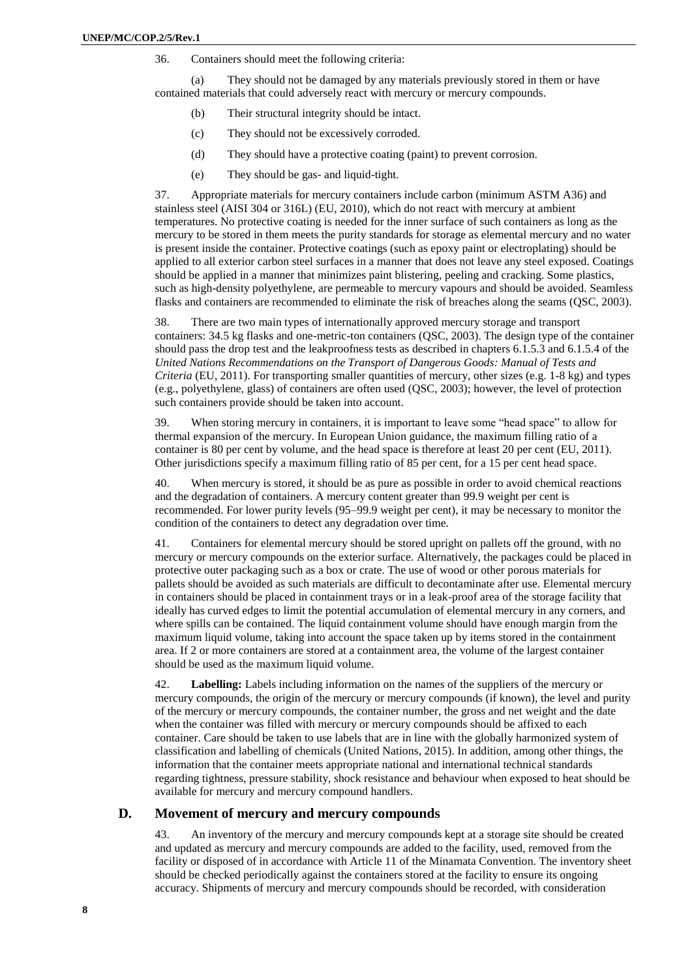36. Containers should meet the following criteria:

(a) They should not be damaged by any materials previously stored in them or have contained materials that could adversely react with mercury or mercury compounds.

- (b) Their structural integrity should be intact.
- (c) They should not be excessively corroded.
- (d) They should have a protective coating (paint) to prevent corrosion.
- (e) They should be gas- and liquid-tight.

37. Appropriate materials for mercury containers include carbon (minimum ASTM A36) and stainless steel (AISI 304 or 316L) (EU, 2010), which do not react with mercury at ambient temperatures. No protective coating is needed for the inner surface of such containers as long as the mercury to be stored in them meets the purity standards for storage as elemental mercury and no water is present inside the container. Protective coatings (such as epoxy paint or electroplating) should be applied to all exterior carbon steel surfaces in a manner that does not leave any steel exposed. Coatings should be applied in a manner that minimizes paint blistering, peeling and cracking. Some plastics, such as high-density polyethylene, are permeable to mercury vapours and should be avoided. Seamless flasks and containers are recommended to eliminate the risk of breaches along the seams (QSC, 2003).

38. There are two main types of internationally approved mercury storage and transport containers: 34.5 kg flasks and one-metric-ton containers (QSC, 2003). The design type of the container should pass the drop test and the leakproofness tests as described in chapters 6.1.5.3 and 6.1.5.4 of the *United Nations Recommendations on the Transport of Dangerous Goods: Manual of Tests and Criteria* (EU, 2011). For transporting smaller quantities of mercury, other sizes (e.g. 1-8 kg) and types (e.g., polyethylene, glass) of containers are often used (QSC, 2003); however, the level of protection such containers provide should be taken into account.

39. When storing mercury in containers, it is important to leave some "head space" to allow for thermal expansion of the mercury. In European Union guidance, the maximum filling ratio of a container is 80 per cent by volume, and the head space is therefore at least 20 per cent (EU, 2011). Other jurisdictions specify a maximum filling ratio of 85 per cent, for a 15 per cent head space.

40. When mercury is stored, it should be as pure as possible in order to avoid chemical reactions and the degradation of containers. A mercury content greater than 99.9 weight per cent is recommended. For lower purity levels (95–99.9 weight per cent), it may be necessary to monitor the condition of the containers to detect any degradation over time.

41. Containers for elemental mercury should be stored upright on pallets off the ground, with no mercury or mercury compounds on the exterior surface. Alternatively, the packages could be placed in protective outer packaging such as a box or crate. The use of wood or other porous materials for pallets should be avoided as such materials are difficult to decontaminate after use. Elemental mercury in containers should be placed in containment trays or in a leak-proof area of the storage facility that ideally has curved edges to limit the potential accumulation of elemental mercury in any corners, and where spills can be contained. The liquid containment volume should have enough margin from the maximum liquid volume, taking into account the space taken up by items stored in the containment area. If 2 or more containers are stored at a containment area, the volume of the largest container should be used as the maximum liquid volume.

42. **Labelling:** Labels including information on the names of the suppliers of the mercury or mercury compounds, the origin of the mercury or mercury compounds (if known), the level and purity of the mercury or mercury compounds, the container number, the gross and net weight and the date when the container was filled with mercury or mercury compounds should be affixed to each container. Care should be taken to use labels that are in line with the globally harmonized system of classification and labelling of chemicals (United Nations, 2015). In addition, among other things, the information that the container meets appropriate national and international technical standards regarding tightness, pressure stability, shock resistance and behaviour when exposed to heat should be available for mercury and mercury compound handlers.

#### **D. Movement of mercury and mercury compounds**

43. An inventory of the mercury and mercury compounds kept at a storage site should be created and updated as mercury and mercury compounds are added to the facility, used, removed from the facility or disposed of in accordance with Article 11 of the Minamata Convention. The inventory sheet should be checked periodically against the containers stored at the facility to ensure its ongoing accuracy. Shipments of mercury and mercury compounds should be recorded, with consideration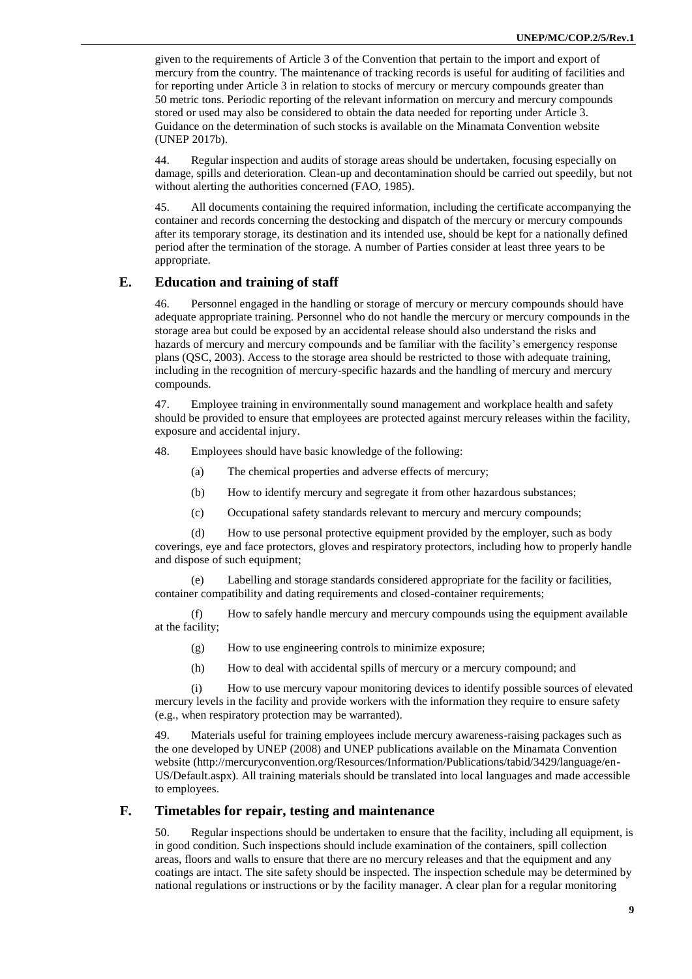given to the requirements of Article 3 of the Convention that pertain to the import and export of mercury from the country. The maintenance of tracking records is useful for auditing of facilities and for reporting under Article 3 in relation to stocks of mercury or mercury compounds greater than 50 metric tons. Periodic reporting of the relevant information on mercury and mercury compounds stored or used may also be considered to obtain the data needed for reporting under Article 3. Guidance on the determination of such stocks is available on the Minamata Convention website (UNEP 2017b).

44. Regular inspection and audits of storage areas should be undertaken, focusing especially on damage, spills and deterioration. Clean-up and decontamination should be carried out speedily, but not without alerting the authorities concerned (FAO, 1985).

45. All documents containing the required information, including the certificate accompanying the container and records concerning the destocking and dispatch of the mercury or mercury compounds after its temporary storage, its destination and its intended use, should be kept for a nationally defined period after the termination of the storage. A number of Parties consider at least three years to be appropriate.

### **E. Education and training of staff**

Personnel engaged in the handling or storage of mercury or mercury compounds should have adequate appropriate training. Personnel who do not handle the mercury or mercury compounds in the storage area but could be exposed by an accidental release should also understand the risks and hazards of mercury and mercury compounds and be familiar with the facility's emergency response plans (QSC, 2003). Access to the storage area should be restricted to those with adequate training, including in the recognition of mercury-specific hazards and the handling of mercury and mercury compounds.

47. Employee training in environmentally sound management and workplace health and safety should be provided to ensure that employees are protected against mercury releases within the facility, exposure and accidental injury.

48. Employees should have basic knowledge of the following:

- (a) The chemical properties and adverse effects of mercury;
- (b) How to identify mercury and segregate it from other hazardous substances;
- (c) Occupational safety standards relevant to mercury and mercury compounds;

(d) How to use personal protective equipment provided by the employer, such as body coverings, eye and face protectors, gloves and respiratory protectors, including how to properly handle and dispose of such equipment;

(e) Labelling and storage standards considered appropriate for the facility or facilities, container compatibility and dating requirements and closed-container requirements;

(f) How to safely handle mercury and mercury compounds using the equipment available at the facility;

- (g) How to use engineering controls to minimize exposure;
- (h) How to deal with accidental spills of mercury or a mercury compound; and

(i) How to use mercury vapour monitoring devices to identify possible sources of elevated mercury levels in the facility and provide workers with the information they require to ensure safety (e.g., when respiratory protection may be warranted).

49. Materials useful for training employees include mercury awareness-raising packages such as the one developed by UNEP (2008) and UNEP publications available on the Minamata Convention website (http://mercuryconvention.org/Resources/Information/Publications/tabid/3429/language/en-US/Default.aspx). All training materials should be translated into local languages and made accessible to employees.

### **F. Timetables for repair, testing and maintenance**

50. Regular inspections should be undertaken to ensure that the facility, including all equipment, is in good condition. Such inspections should include examination of the containers, spill collection areas, floors and walls to ensure that there are no mercury releases and that the equipment and any coatings are intact. The site safety should be inspected. The inspection schedule may be determined by national regulations or instructions or by the facility manager. A clear plan for a regular monitoring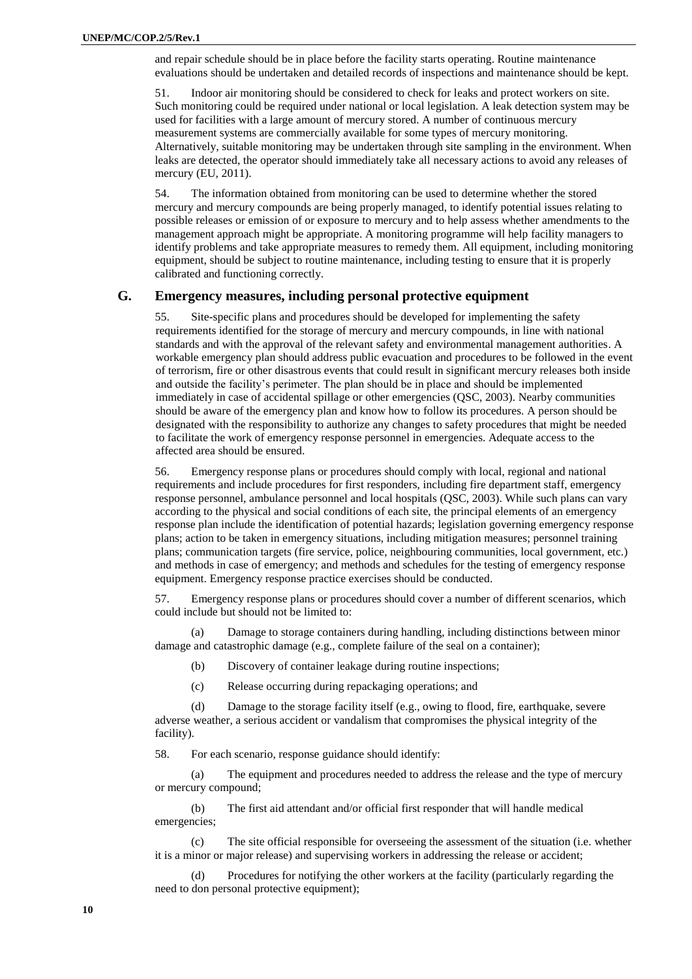and repair schedule should be in place before the facility starts operating. Routine maintenance evaluations should be undertaken and detailed records of inspections and maintenance should be kept.

51. Indoor air monitoring should be considered to check for leaks and protect workers on site. Such monitoring could be required under national or local legislation. A leak detection system may be used for facilities with a large amount of mercury stored. A number of continuous mercury measurement systems are commercially available for some types of mercury monitoring. Alternatively, suitable monitoring may be undertaken through site sampling in the environment. When leaks are detected, the operator should immediately take all necessary actions to avoid any releases of mercury (EU, 2011).

54. The information obtained from monitoring can be used to determine whether the stored mercury and mercury compounds are being properly managed, to identify potential issues relating to possible releases or emission of or exposure to mercury and to help assess whether amendments to the management approach might be appropriate. A monitoring programme will help facility managers to identify problems and take appropriate measures to remedy them. All equipment, including monitoring equipment, should be subject to routine maintenance, including testing to ensure that it is properly calibrated and functioning correctly.

#### **G. Emergency measures, including personal protective equipment**

55. Site-specific plans and procedures should be developed for implementing the safety requirements identified for the storage of mercury and mercury compounds, in line with national standards and with the approval of the relevant safety and environmental management authorities. A workable emergency plan should address public evacuation and procedures to be followed in the event of terrorism, fire or other disastrous events that could result in significant mercury releases both inside and outside the facility's perimeter. The plan should be in place and should be implemented immediately in case of accidental spillage or other emergencies (QSC, 2003). Nearby communities should be aware of the emergency plan and know how to follow its procedures. A person should be designated with the responsibility to authorize any changes to safety procedures that might be needed to facilitate the work of emergency response personnel in emergencies. Adequate access to the affected area should be ensured.

56. Emergency response plans or procedures should comply with local, regional and national requirements and include procedures for first responders, including fire department staff, emergency response personnel, ambulance personnel and local hospitals (QSC, 2003). While such plans can vary according to the physical and social conditions of each site, the principal elements of an emergency response plan include the identification of potential hazards; legislation governing emergency response plans; action to be taken in emergency situations, including mitigation measures; personnel training plans; communication targets (fire service, police, neighbouring communities, local government, etc.) and methods in case of emergency; and methods and schedules for the testing of emergency response equipment. Emergency response practice exercises should be conducted.

57. Emergency response plans or procedures should cover a number of different scenarios, which could include but should not be limited to:

(a) Damage to storage containers during handling, including distinctions between minor damage and catastrophic damage (e.g., complete failure of the seal on a container);

- (b) Discovery of container leakage during routine inspections;
- (c) Release occurring during repackaging operations; and

(d) Damage to the storage facility itself (e.g., owing to flood, fire, earthquake, severe adverse weather, a serious accident or vandalism that compromises the physical integrity of the facility).

58. For each scenario, response guidance should identify:

(a) The equipment and procedures needed to address the release and the type of mercury or mercury compound;

(b) The first aid attendant and/or official first responder that will handle medical emergencies;

(c) The site official responsible for overseeing the assessment of the situation (i.e. whether it is a minor or major release) and supervising workers in addressing the release or accident;

(d) Procedures for notifying the other workers at the facility (particularly regarding the need to don personal protective equipment);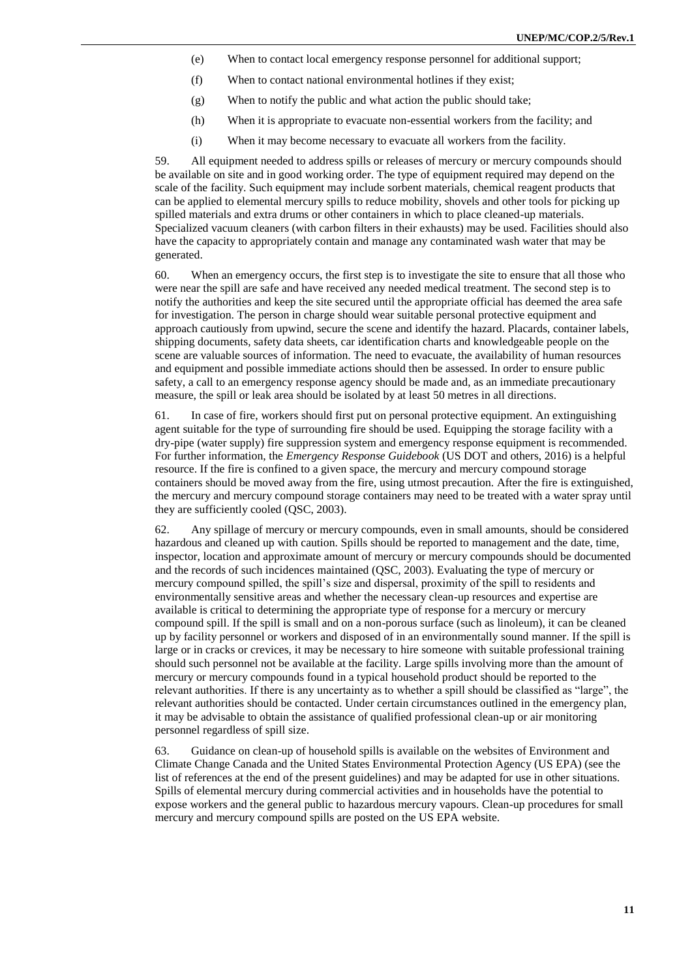- (e) When to contact local emergency response personnel for additional support;
- (f) When to contact national environmental hotlines if they exist;
- (g) When to notify the public and what action the public should take;
- (h) When it is appropriate to evacuate non-essential workers from the facility; and
- (i) When it may become necessary to evacuate all workers from the facility.

59. All equipment needed to address spills or releases of mercury or mercury compounds should be available on site and in good working order. The type of equipment required may depend on the scale of the facility. Such equipment may include sorbent materials, chemical reagent products that can be applied to elemental mercury spills to reduce mobility, shovels and other tools for picking up spilled materials and extra drums or other containers in which to place cleaned-up materials. Specialized vacuum cleaners (with carbon filters in their exhausts) may be used. Facilities should also have the capacity to appropriately contain and manage any contaminated wash water that may be generated.

60. When an emergency occurs, the first step is to investigate the site to ensure that all those who were near the spill are safe and have received any needed medical treatment. The second step is to notify the authorities and keep the site secured until the appropriate official has deemed the area safe for investigation. The person in charge should wear suitable personal protective equipment and approach cautiously from upwind, secure the scene and identify the hazard. Placards, container labels, shipping documents, safety data sheets, car identification charts and knowledgeable people on the scene are valuable sources of information. The need to evacuate, the availability of human resources and equipment and possible immediate actions should then be assessed. In order to ensure public safety, a call to an emergency response agency should be made and, as an immediate precautionary measure, the spill or leak area should be isolated by at least 50 metres in all directions.

61. In case of fire, workers should first put on personal protective equipment. An extinguishing agent suitable for the type of surrounding fire should be used. Equipping the storage facility with a dry-pipe (water supply) fire suppression system and emergency response equipment is recommended. For further information, the *Emergency Response Guidebook* (US DOT and others, 2016) is a helpful resource. If the fire is confined to a given space, the mercury and mercury compound storage containers should be moved away from the fire, using utmost precaution. After the fire is extinguished, the mercury and mercury compound storage containers may need to be treated with a water spray until they are sufficiently cooled (QSC, 2003).

62. Any spillage of mercury or mercury compounds, even in small amounts, should be considered hazardous and cleaned up with caution. Spills should be reported to management and the date, time, inspector, location and approximate amount of mercury or mercury compounds should be documented and the records of such incidences maintained (QSC, 2003). Evaluating the type of mercury or mercury compound spilled, the spill's size and dispersal, proximity of the spill to residents and environmentally sensitive areas and whether the necessary clean-up resources and expertise are available is critical to determining the appropriate type of response for a mercury or mercury compound spill. If the spill is small and on a non-porous surface (such as linoleum), it can be cleaned up by facility personnel or workers and disposed of in an environmentally sound manner. If the spill is large or in cracks or crevices, it may be necessary to hire someone with suitable professional training should such personnel not be available at the facility. Large spills involving more than the amount of mercury or mercury compounds found in a typical household product should be reported to the relevant authorities. If there is any uncertainty as to whether a spill should be classified as "large", the relevant authorities should be contacted. Under certain circumstances outlined in the emergency plan, it may be advisable to obtain the assistance of qualified professional clean-up or air monitoring personnel regardless of spill size.

63. Guidance on clean-up of household spills is available on the websites of Environment and Climate Change Canada and the United States Environmental Protection Agency (US EPA) (see the list of references at the end of the present guidelines) and may be adapted for use in other situations. Spills of elemental mercury during commercial activities and in households have the potential to expose workers and the general public to hazardous mercury vapours. Clean-up procedures for small mercury and mercury compound spills are posted on the US EPA website.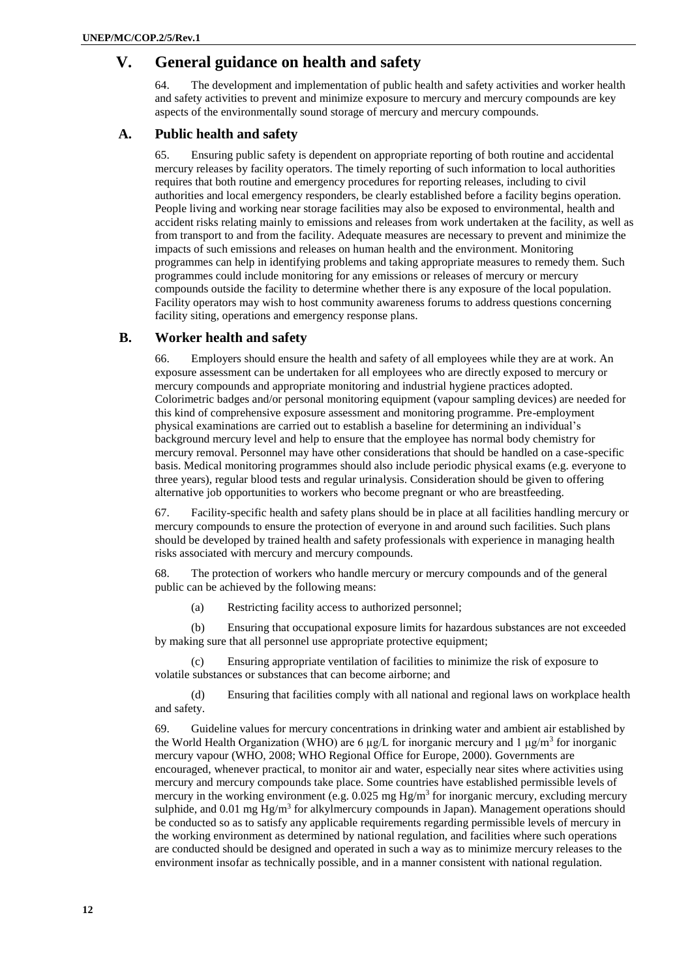# **V. General guidance on health and safety**

64. The development and implementation of public health and safety activities and worker health and safety activities to prevent and minimize exposure to mercury and mercury compounds are key aspects of the environmentally sound storage of mercury and mercury compounds.

### **A. Public health and safety**

65. Ensuring public safety is dependent on appropriate reporting of both routine and accidental mercury releases by facility operators. The timely reporting of such information to local authorities requires that both routine and emergency procedures for reporting releases, including to civil authorities and local emergency responders, be clearly established before a facility begins operation. People living and working near storage facilities may also be exposed to environmental, health and accident risks relating mainly to emissions and releases from work undertaken at the facility, as well as from transport to and from the facility. Adequate measures are necessary to prevent and minimize the impacts of such emissions and releases on human health and the environment. Monitoring programmes can help in identifying problems and taking appropriate measures to remedy them. Such programmes could include monitoring for any emissions or releases of mercury or mercury compounds outside the facility to determine whether there is any exposure of the local population. Facility operators may wish to host community awareness forums to address questions concerning facility siting, operations and emergency response plans.

### **B. Worker health and safety**

66. Employers should ensure the health and safety of all employees while they are at work. An exposure assessment can be undertaken for all employees who are directly exposed to mercury or mercury compounds and appropriate monitoring and industrial hygiene practices adopted. Colorimetric badges and/or personal monitoring equipment (vapour sampling devices) are needed for this kind of comprehensive exposure assessment and monitoring programme. Pre-employment physical examinations are carried out to establish a baseline for determining an individual's background mercury level and help to ensure that the employee has normal body chemistry for mercury removal. Personnel may have other considerations that should be handled on a case-specific basis. Medical monitoring programmes should also include periodic physical exams (e.g. everyone to three years), regular blood tests and regular urinalysis. Consideration should be given to offering alternative job opportunities to workers who become pregnant or who are breastfeeding.

67. Facility-specific health and safety plans should be in place at all facilities handling mercury or mercury compounds to ensure the protection of everyone in and around such facilities. Such plans should be developed by trained health and safety professionals with experience in managing health risks associated with mercury and mercury compounds.

68. The protection of workers who handle mercury or mercury compounds and of the general public can be achieved by the following means:

(a) Restricting facility access to authorized personnel;

(b) Ensuring that occupational exposure limits for hazardous substances are not exceeded by making sure that all personnel use appropriate protective equipment;

(c) Ensuring appropriate ventilation of facilities to minimize the risk of exposure to volatile substances or substances that can become airborne; and

(d) Ensuring that facilities comply with all national and regional laws on workplace health and safety.

69. Guideline values for mercury concentrations in drinking water and ambient air established by the World Health Organization (WHO) are 6  $\mu$ g/L for inorganic mercury and 1  $\mu$ g/m<sup>3</sup> for inorganic mercury vapour (WHO, 2008; WHO Regional Office for Europe, 2000). Governments are encouraged, whenever practical, to monitor air and water, especially near sites where activities using mercury and mercury compounds take place. Some countries have established permissible levels of mercury in the working environment (e.g.  $0.025$  mg Hg/m<sup>3</sup> for inorganic mercury, excluding mercury sulphide, and 0.01 mg Hg/m<sup>3</sup> for alkylmercury compounds in Japan). Management operations should be conducted so as to satisfy any applicable requirements regarding permissible levels of mercury in the working environment as determined by national regulation, and facilities where such operations are conducted should be designed and operated in such a way as to minimize mercury releases to the environment insofar as technically possible, and in a manner consistent with national regulation.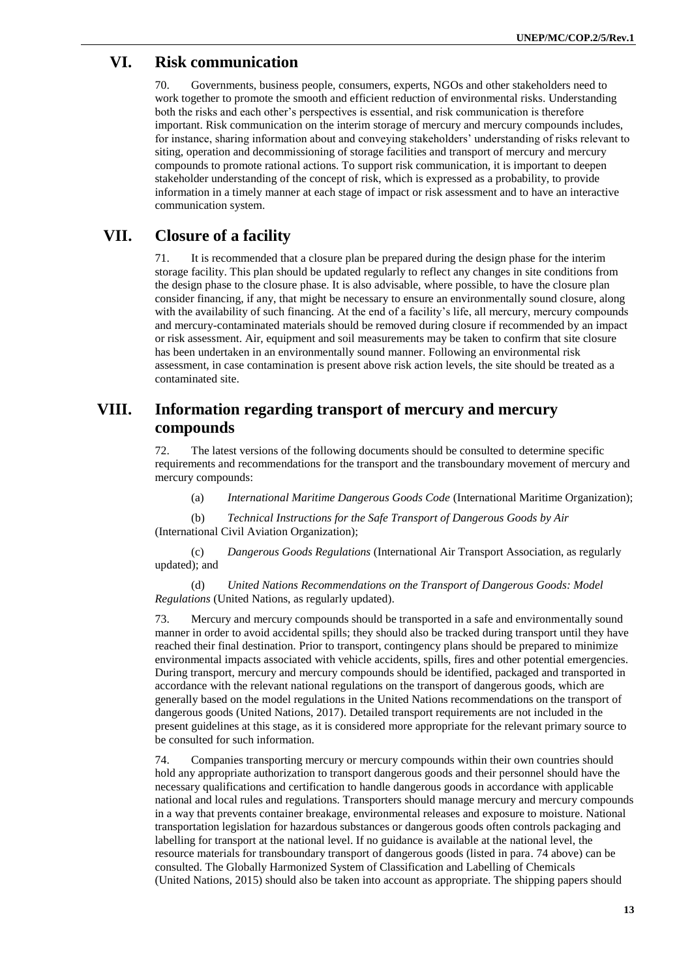# **VI. Risk communication**

70. Governments, business people, consumers, experts, NGOs and other stakeholders need to work together to promote the smooth and efficient reduction of environmental risks. Understanding both the risks and each other's perspectives is essential, and risk communication is therefore important. Risk communication on the interim storage of mercury and mercury compounds includes, for instance, sharing information about and conveying stakeholders' understanding of risks relevant to siting, operation and decommissioning of storage facilities and transport of mercury and mercury compounds to promote rational actions. To support risk communication, it is important to deepen stakeholder understanding of the concept of risk, which is expressed as a probability, to provide information in a timely manner at each stage of impact or risk assessment and to have an interactive communication system.

# **VII. Closure of a facility**

71. It is recommended that a closure plan be prepared during the design phase for the interim storage facility. This plan should be updated regularly to reflect any changes in site conditions from the design phase to the closure phase. It is also advisable, where possible, to have the closure plan consider financing, if any, that might be necessary to ensure an environmentally sound closure, along with the availability of such financing. At the end of a facility's life, all mercury, mercury compounds and mercury-contaminated materials should be removed during closure if recommended by an impact or risk assessment. Air, equipment and soil measurements may be taken to confirm that site closure has been undertaken in an environmentally sound manner. Following an environmental risk assessment, in case contamination is present above risk action levels, the site should be treated as a contaminated site.

# **VIII. Information regarding transport of mercury and mercury compounds**

72. The latest versions of the following documents should be consulted to determine specific requirements and recommendations for the transport and the transboundary movement of mercury and mercury compounds:

(a) *International Maritime Dangerous Goods Code* (International Maritime Organization);

(b) *Technical Instructions for the Safe Transport of Dangerous Goods by Air*  (International Civil Aviation Organization);

(c) *Dangerous Goods Regulations* (International Air Transport Association, as regularly updated); and

(d) *United Nations Recommendations on the Transport of Dangerous Goods: Model Regulations* (United Nations, as regularly updated).

73. Mercury and mercury compounds should be transported in a safe and environmentally sound manner in order to avoid accidental spills; they should also be tracked during transport until they have reached their final destination. Prior to transport, contingency plans should be prepared to minimize environmental impacts associated with vehicle accidents, spills, fires and other potential emergencies. During transport, mercury and mercury compounds should be identified, packaged and transported in accordance with the relevant national regulations on the transport of dangerous goods, which are generally based on the model regulations in the United Nations recommendations on the transport of dangerous goods (United Nations, 2017). Detailed transport requirements are not included in the present guidelines at this stage, as it is considered more appropriate for the relevant primary source to be consulted for such information.

74. Companies transporting mercury or mercury compounds within their own countries should hold any appropriate authorization to transport dangerous goods and their personnel should have the necessary qualifications and certification to handle dangerous goods in accordance with applicable national and local rules and regulations. Transporters should manage mercury and mercury compounds in a way that prevents container breakage, environmental releases and exposure to moisture. National transportation legislation for hazardous substances or dangerous goods often controls packaging and labelling for transport at the national level. If no guidance is available at the national level, the resource materials for transboundary transport of dangerous goods (listed in para. 74 above) can be consulted. The Globally Harmonized System of Classification and Labelling of Chemicals (United Nations, 2015) should also be taken into account as appropriate. The shipping papers should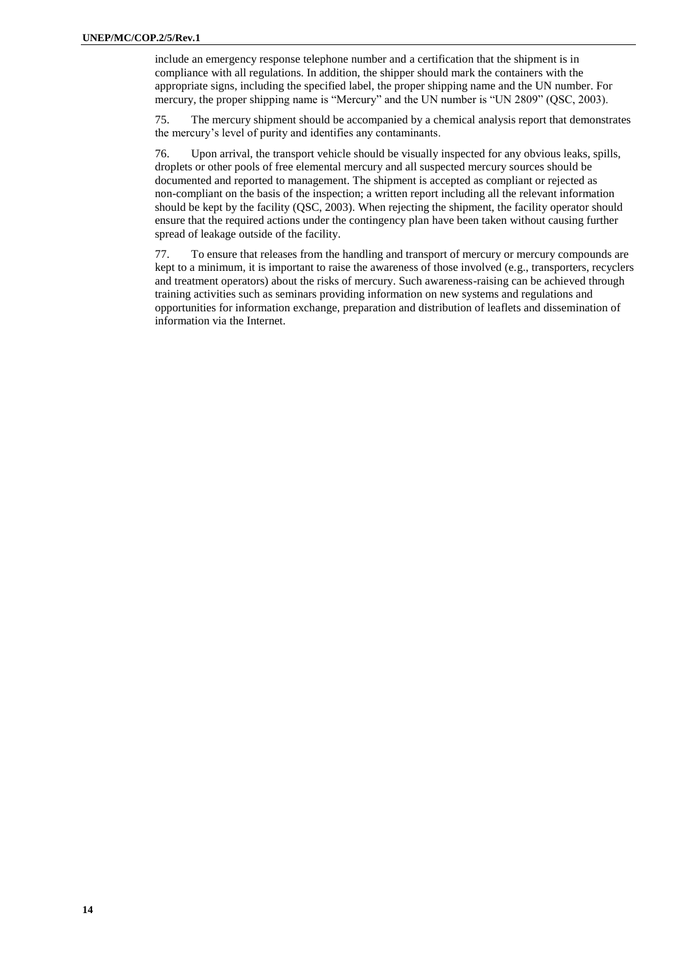include an emergency response telephone number and a certification that the shipment is in compliance with all regulations. In addition, the shipper should mark the containers with the appropriate signs, including the specified label, the proper shipping name and the UN number. For mercury, the proper shipping name is "Mercury" and the UN number is "UN 2809" (QSC, 2003).

75. The mercury shipment should be accompanied by a chemical analysis report that demonstrates the mercury's level of purity and identifies any contaminants.

76. Upon arrival, the transport vehicle should be visually inspected for any obvious leaks, spills, droplets or other pools of free elemental mercury and all suspected mercury sources should be documented and reported to management. The shipment is accepted as compliant or rejected as non-compliant on the basis of the inspection; a written report including all the relevant information should be kept by the facility (QSC, 2003). When rejecting the shipment, the facility operator should ensure that the required actions under the contingency plan have been taken without causing further spread of leakage outside of the facility.

77. To ensure that releases from the handling and transport of mercury or mercury compounds are kept to a minimum, it is important to raise the awareness of those involved (e.g., transporters, recyclers and treatment operators) about the risks of mercury. Such awareness-raising can be achieved through training activities such as seminars providing information on new systems and regulations and opportunities for information exchange, preparation and distribution of leaflets and dissemination of information via the Internet.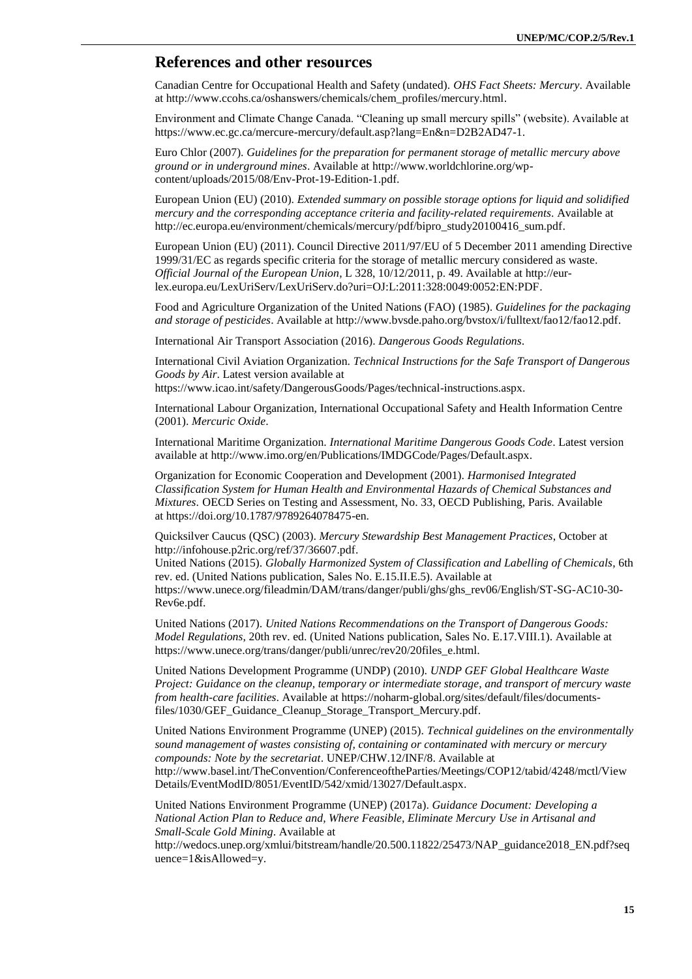## **References and other resources**

Canadian Centre for Occupational Health and Safety (undated). *OHS Fact Sheets: Mercury*. Available at [http://www.ccohs.ca/oshanswers/chemicals/chem\\_profiles/mercury.html.](http://www.ccohs.ca/oshanswers/chemicals/chem_profiles/mercury.html)

Environment and Climate Change Canada. "Cleaning up small mercury spills" (website). Available at https://www.ec.gc.ca/mercure-mercury/default.asp?lang=En&n=D2B2AD47-1.

Euro Chlor (2007). *Guidelines for the preparation for permanent storage of metallic mercury above ground or in underground mines*. Available at [http://www.worldchlorine.org/wp](http://www.worldchlorine.org/wp-content/uploads/2015/08/Env-Prot-19-Edition-1.pdf)[content/uploads/2015/08/Env-Prot-19-Edition-1.pdf.](http://www.worldchlorine.org/wp-content/uploads/2015/08/Env-Prot-19-Edition-1.pdf)

European Union (EU) (2010). *Extended summary on possible storage options for liquid and solidified mercury and the corresponding acceptance criteria and facility-related requirements*. Available at [http://ec.europa.eu/environment/chemicals/mercury/pdf/bipro\\_study20100416\\_sum.pdf.](http://ec.europa.eu/environment/chemicals/mercury/pdf/bipro_study20100416_sum.pdf)

European Union (EU) (2011). Council Directive 2011/97/EU of 5 December 2011 amending Directive 1999/31/EC as regards specific criteria for the storage of metallic mercury considered as waste. *Official Journal of the European Union*, L 328, 10/12/2011, p. 49. Available at [http://eur](http://eur-lex.europa.eu/LexUriServ/LexUriServ.do?uri=OJ:L:2011:328:0049:0052:EN:PDF)[lex.europa.eu/LexUriServ/LexUriServ.do?uri=OJ:L:2011:328:0049:0052:EN:PDF.](http://eur-lex.europa.eu/LexUriServ/LexUriServ.do?uri=OJ:L:2011:328:0049:0052:EN:PDF)

Food and Agriculture Organization of the United Nations (FAO) (1985). *Guidelines for the packaging and storage of pesticides*. Available at [http://www.bvsde.paho.org/bvstox/i/fulltext/fao12/fao12.pdf.](http://www.bvsde.paho.org/bvstox/i/fulltext/fao12/fao12.pdf)

International Air Transport Association (2016). *Dangerous Goods Regulations*.

International Civil Aviation Organization. *Technical Instructions for the Safe Transport of Dangerous Goods by Air*. Latest version available at

[https://www.icao.int/safety/DangerousGoods/Pages/technical-instructions.aspx.](https://www.icao.int/safety/DangerousGoods/Pages/technical-instructions.aspx)

International Labour Organization, International Occupational Safety and Health Information Centre (2001). *Mercuric Oxide*.

International Maritime Organization. *International Maritime Dangerous Goods Code*. Latest version available a[t http://www.imo.org/en/Publications/IMDGCode/Pages/Default.aspx.](http://www.imo.org/en/Publications/IMDGCode/Pages/Default.aspx)

Organization for Economic Cooperation and Development (2001). *Harmonised Integrated Classification System for Human Health and Environmental Hazards of Chemical Substances and Mixtures*. OECD Series on Testing and Assessment, No. 33, OECD Publishing, Paris. Available at [https://doi.org/10.1787/9789264078475-en.](https://doi.org/10.1787/9789264078475-en)

Quicksilver Caucus (QSC) (2003). *Mercury Stewardship Best Management Practices*, October at [http://infohouse.p2ric.org/ref/37/36607.pdf.](http://infohouse.p2ric.org/ref/37/36607.pdf)

United Nations (2015). *Globally Harmonized System of Classification and Labelling of Chemicals*, 6th rev. ed. (United Nations publication, Sales No. E.15.II.E.5). Available at https://www.unece.org/fileadmin/DAM/trans/danger/publi/ghs/ghs\_rev06/English/ST-SG-AC10-30- Rev6e.pdf.

United Nations (2017). *United Nations Recommendations on the Transport of Dangerous Goods: Model Regulations*, 20th rev. ed. (United Nations publication, Sales No. E.17.VIII.1). Available at https://www.unece.org/trans/danger/publi/unrec/rev20/20files\_e.html.

United Nations Development Programme (UNDP) (2010). *UNDP GEF Global Healthcare Waste Project: Guidance on the cleanup, temporary or intermediate storage, and transport of mercury waste from health-care facilities*. Available at [https://noharm-global.org/sites/default/files/documents](https://noharm-global.org/sites/default/files/documents-files/1030/GEF_Guidance_Cleanup_Storage_Transport_Mercury.pdf)files/1030/GEF Guidance Cleanup Storage Transport Mercury.pdf.

United Nations Environment Programme (UNEP) (2015). *Technical guidelines on the environmentally sound management of wastes consisting of, containing or contaminated with mercury or mercury compounds: Note by the secretariat*. UNEP/CHW.12/INF/8. Available at [http://www.basel.int/TheConvention/ConferenceoftheParties/Meetings/COP12/tabid/4248/mctl/View](http://www.basel.int/TheConvention/ConferenceoftheParties/Meetings/COP12/tabid/4248/mctl/ViewDetails/EventModID/8051/EventID/542/xmid/13027/Default.aspx) [Details/EventModID/8051/EventID/542/xmid/13027/Default.aspx.](http://www.basel.int/TheConvention/ConferenceoftheParties/Meetings/COP12/tabid/4248/mctl/ViewDetails/EventModID/8051/EventID/542/xmid/13027/Default.aspx)

United Nations Environment Programme (UNEP) (2017a). *Guidance Document: Developing a National Action Plan to Reduce and, Where Feasible, Eliminate Mercury Use in Artisanal and Small-Scale Gold Mining*. Available at

[http://wedocs.unep.org/xmlui/bitstream/handle/20.500.11822/25473/NAP\\_guidance2018\\_EN.pdf?seq](http://wedocs.unep.org/xmlui/bitstream/handle/20.500.11822/25473/NAP_guidance2018_EN.pdf?sequence=1&isAllowed=y) [uence=1&isAllowed=y.](http://wedocs.unep.org/xmlui/bitstream/handle/20.500.11822/25473/NAP_guidance2018_EN.pdf?sequence=1&isAllowed=y)